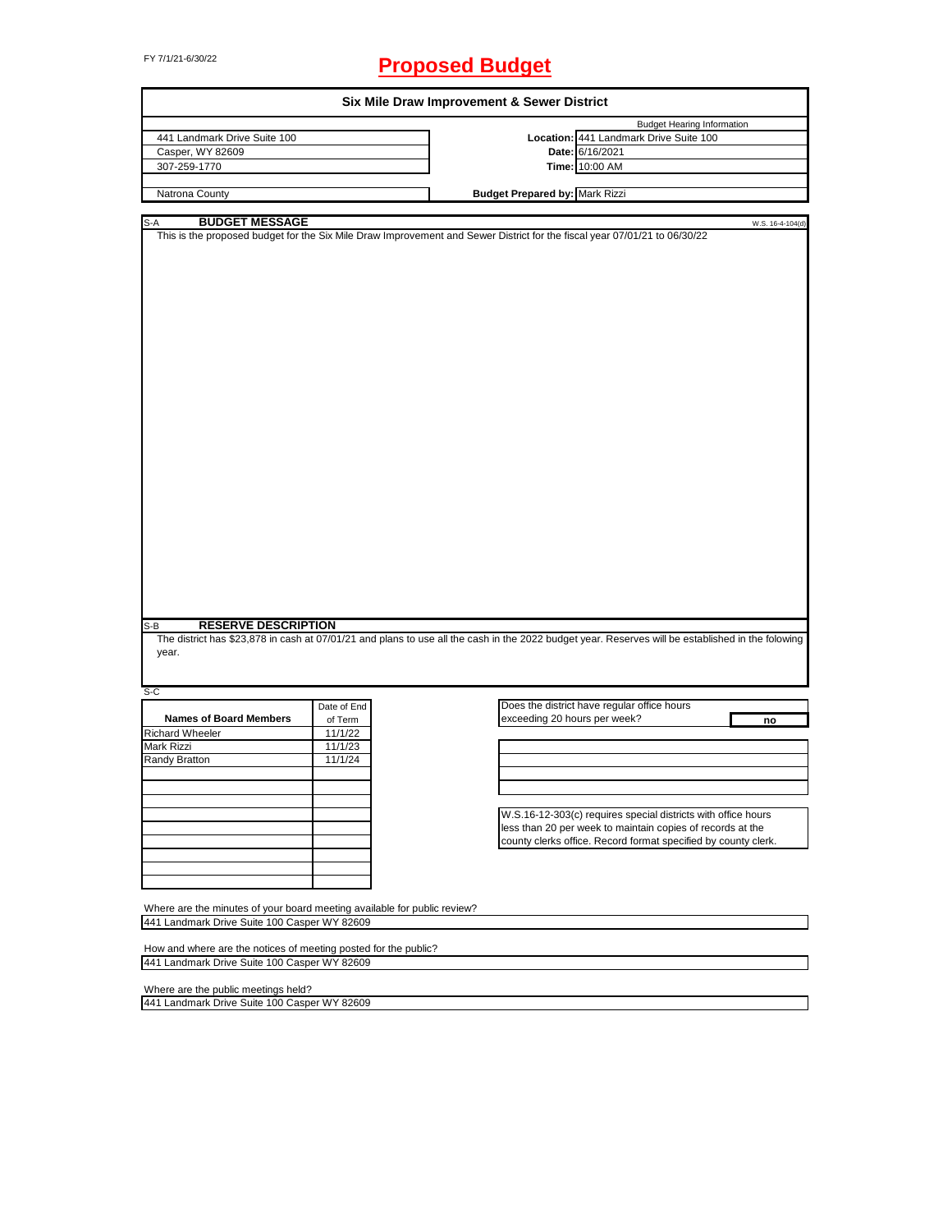# FY 7/1/21-6/30/22 **Proposed Budget**

| Six Mile Draw Improvement & Sewer District                               |             |                                                                                                                                                   |  |  |
|--------------------------------------------------------------------------|-------------|---------------------------------------------------------------------------------------------------------------------------------------------------|--|--|
|                                                                          |             | <b>Budget Hearing Information</b>                                                                                                                 |  |  |
| 441 Landmark Drive Suite 100                                             |             | Location: 441 Landmark Drive Suite 100                                                                                                            |  |  |
| Casper, WY 82609                                                         |             | Date: 6/16/2021                                                                                                                                   |  |  |
| 307-259-1770                                                             |             | Time: 10:00 AM                                                                                                                                    |  |  |
|                                                                          |             |                                                                                                                                                   |  |  |
| Natrona County                                                           |             | <b>Budget Prepared by: Mark Rizzi</b>                                                                                                             |  |  |
|                                                                          |             |                                                                                                                                                   |  |  |
| <b>BUDGET MESSAGE</b><br>S-A                                             |             | W.S. 16-4-104(d)<br>This is the proposed budget for the Six Mile Draw Improvement and Sewer District for the fiscal year 07/01/21 to 06/30/22     |  |  |
|                                                                          |             |                                                                                                                                                   |  |  |
|                                                                          |             |                                                                                                                                                   |  |  |
|                                                                          |             |                                                                                                                                                   |  |  |
|                                                                          |             |                                                                                                                                                   |  |  |
|                                                                          |             |                                                                                                                                                   |  |  |
|                                                                          |             |                                                                                                                                                   |  |  |
|                                                                          |             |                                                                                                                                                   |  |  |
|                                                                          |             |                                                                                                                                                   |  |  |
|                                                                          |             |                                                                                                                                                   |  |  |
|                                                                          |             |                                                                                                                                                   |  |  |
|                                                                          |             |                                                                                                                                                   |  |  |
|                                                                          |             |                                                                                                                                                   |  |  |
|                                                                          |             |                                                                                                                                                   |  |  |
|                                                                          |             |                                                                                                                                                   |  |  |
|                                                                          |             |                                                                                                                                                   |  |  |
|                                                                          |             |                                                                                                                                                   |  |  |
|                                                                          |             |                                                                                                                                                   |  |  |
|                                                                          |             |                                                                                                                                                   |  |  |
|                                                                          |             |                                                                                                                                                   |  |  |
|                                                                          |             |                                                                                                                                                   |  |  |
|                                                                          |             |                                                                                                                                                   |  |  |
|                                                                          |             |                                                                                                                                                   |  |  |
|                                                                          |             |                                                                                                                                                   |  |  |
|                                                                          |             |                                                                                                                                                   |  |  |
|                                                                          |             |                                                                                                                                                   |  |  |
|                                                                          |             |                                                                                                                                                   |  |  |
|                                                                          |             |                                                                                                                                                   |  |  |
|                                                                          |             |                                                                                                                                                   |  |  |
|                                                                          |             |                                                                                                                                                   |  |  |
|                                                                          |             |                                                                                                                                                   |  |  |
| <b>RESERVE DESCRIPTION</b><br>S-B                                        |             |                                                                                                                                                   |  |  |
|                                                                          |             | The district has \$23,878 in cash at 07/01/21 and plans to use all the cash in the 2022 budget year. Reserves will be established in the folowing |  |  |
| year.                                                                    |             |                                                                                                                                                   |  |  |
|                                                                          |             |                                                                                                                                                   |  |  |
|                                                                          |             |                                                                                                                                                   |  |  |
| S-C                                                                      |             |                                                                                                                                                   |  |  |
|                                                                          | Date of End | Does the district have regular office hours                                                                                                       |  |  |
| <b>Names of Board Members</b>                                            | of Term     | exceeding 20 hours per week?<br>no                                                                                                                |  |  |
| <b>Richard Wheeler</b>                                                   | 11/1/22     |                                                                                                                                                   |  |  |
| Mark Rizzi                                                               | 11/1/23     |                                                                                                                                                   |  |  |
| Randy Bratton                                                            | 11/1/24     |                                                                                                                                                   |  |  |
|                                                                          |             |                                                                                                                                                   |  |  |
|                                                                          |             |                                                                                                                                                   |  |  |
|                                                                          |             |                                                                                                                                                   |  |  |
|                                                                          |             |                                                                                                                                                   |  |  |
|                                                                          |             | W.S.16-12-303(c) requires special districts with office hours                                                                                     |  |  |
|                                                                          |             | less than 20 per week to maintain copies of records at the                                                                                        |  |  |
|                                                                          |             | county clerks office. Record format specified by county clerk.                                                                                    |  |  |
|                                                                          |             |                                                                                                                                                   |  |  |
|                                                                          |             |                                                                                                                                                   |  |  |
|                                                                          |             |                                                                                                                                                   |  |  |
|                                                                          |             |                                                                                                                                                   |  |  |
| Where are the minutes of your board meeting available for public review? |             |                                                                                                                                                   |  |  |
| 441 Landmark Drive Suite 100 Casper WY 82609                             |             |                                                                                                                                                   |  |  |
|                                                                          |             |                                                                                                                                                   |  |  |
|                                                                          |             |                                                                                                                                                   |  |  |
| How and where are the notices of meeting posted for the public?          |             |                                                                                                                                                   |  |  |
| 441 Landmark Drive Suite 100 Casper WY 82609                             |             |                                                                                                                                                   |  |  |
|                                                                          |             |                                                                                                                                                   |  |  |
| Where are the public meetings held?                                      |             |                                                                                                                                                   |  |  |

441 Landmark Drive Suite 100 Casper WY 82609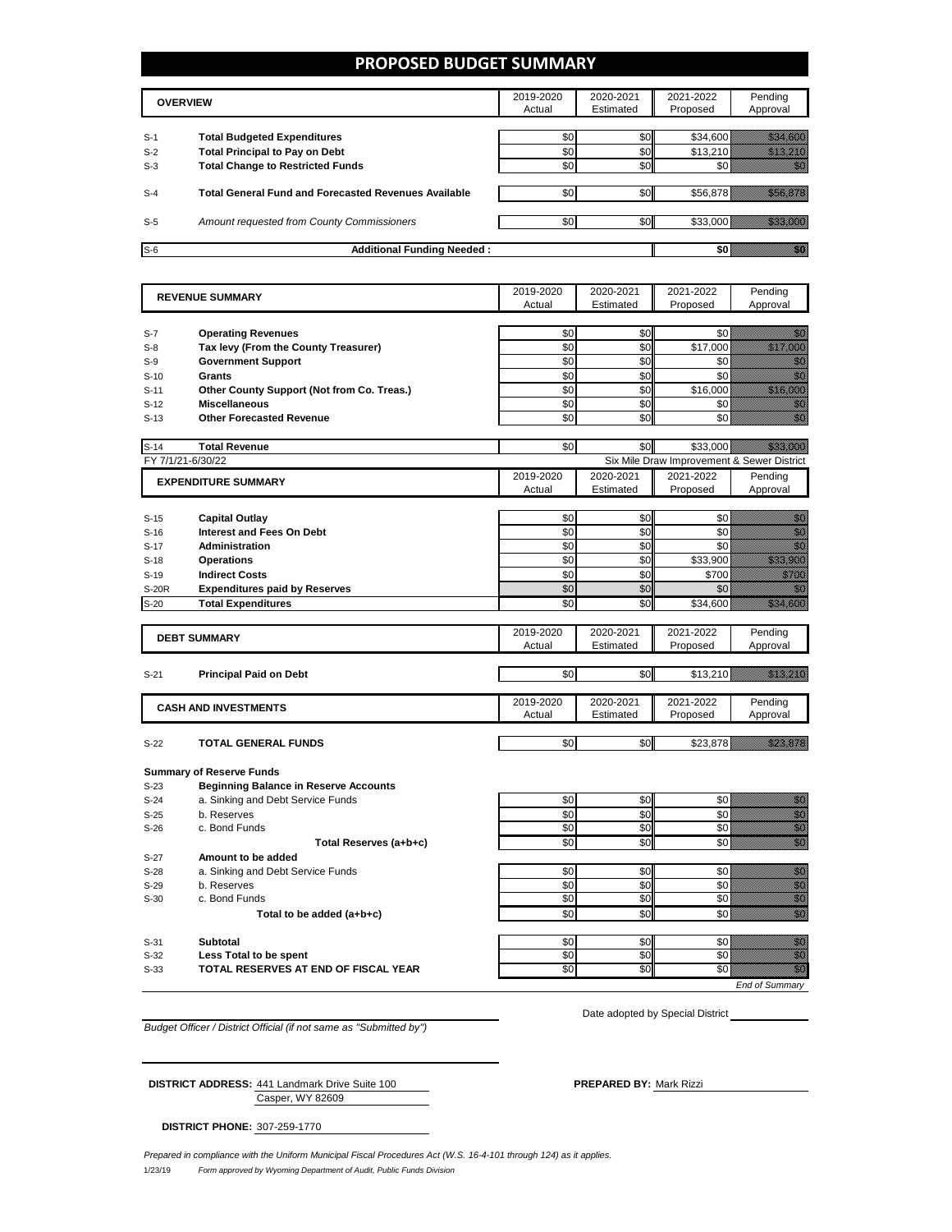### **PROPOSED BUDGET SUMMARY**

|       | <b>OVERVIEW</b>                                             | 2019-2020<br>Actual | 2020-2021<br>Estimated | 2021-2022<br>Proposed | Pending<br>Approval |
|-------|-------------------------------------------------------------|---------------------|------------------------|-----------------------|---------------------|
| $S-1$ | <b>Total Budgeted Expenditures</b>                          | \$0                 | \$0                    | \$34,600              |                     |
| $S-2$ | <b>Total Principal to Pay on Debt</b>                       | \$0                 | \$0                    | \$13.210              |                     |
| $S-3$ | <b>Total Change to Restricted Funds</b>                     | \$0                 | \$0                    |                       |                     |
|       |                                                             |                     |                        |                       |                     |
| $S-4$ | <b>Total General Fund and Forecasted Revenues Available</b> | \$0                 | \$0                    | \$56,878              |                     |
|       |                                                             |                     |                        |                       |                     |
| $S-5$ | Amount requested from County Commissioners                  | \$0                 | \$0                    | \$33,000              |                     |
|       |                                                             |                     |                        |                       |                     |
| $S-6$ | <b>Additional Funding Needed:</b>                           |                     |                        |                       |                     |

| <b>REVENUE SUMMARY</b> |                                              | 2019-2020 | 2020-2021 | 2021-2022                                  | Pending                                                                                                                                                                                                                                            |
|------------------------|----------------------------------------------|-----------|-----------|--------------------------------------------|----------------------------------------------------------------------------------------------------------------------------------------------------------------------------------------------------------------------------------------------------|
|                        |                                              | Actual    | Estimated | Proposed                                   | Approval                                                                                                                                                                                                                                           |
|                        |                                              |           |           |                                            |                                                                                                                                                                                                                                                    |
| $S-7$                  | <b>Operating Revenues</b>                    | \$0       | \$0       | \$0                                        | 1999                                                                                                                                                                                                                                               |
| $S-8$                  | Tax levy (From the County Treasurer)         | \$0       | \$0       | \$17,000                                   | <u> Mariji (</u>                                                                                                                                                                                                                                   |
| $S-9$                  | <b>Government Support</b>                    | \$0       | \$0       | \$0                                        | en de la familie de la familie de la familie de la familie de la familie de la familie de la familie de la fam<br>De la familie de la familie de la familie de la familie de la familie de la familie de la familie de la famili                   |
| $S-10$                 | Grants                                       | \$0       | \$0       | \$0                                        | en de la familie de la familie de la familie de la familie de la familie de la familie de la familie de la fa<br>Establecer de la familie de la familie de la familie de la familie de la familie de la familie de la familie d                    |
| $S-11$                 | Other County Support (Not from Co. Treas.)   | \$0       | \$0       | \$16,000                                   | <u>Maria Bara</u>                                                                                                                                                                                                                                  |
| $S-12$                 | <b>Miscellaneous</b>                         | \$0       | \$0       | \$0                                        | en de la familie de la familie de la familie de la familie de la familie de la familie de la familie de la fam<br>Estat de la familie de la familie de la familie de la familie de la familie de la familie de la familie de la                    |
| $S-13$                 | <b>Other Forecasted Revenue</b>              | \$0       | \$0       | \$0                                        | en<br>Verkland                                                                                                                                                                                                                                     |
|                        |                                              |           |           |                                            |                                                                                                                                                                                                                                                    |
| $S-14$                 | <b>Total Revenue</b>                         | \$0       | \$0       | \$33,000                                   |                                                                                                                                                                                                                                                    |
| FY 7/1/21-6/30/22      |                                              |           |           | Six Mile Draw Improvement & Sewer District |                                                                                                                                                                                                                                                    |
|                        | <b>EXPENDITURE SUMMARY</b>                   | 2019-2020 | 2020-2021 | 2021-2022                                  | Pending                                                                                                                                                                                                                                            |
|                        |                                              | Actual    | Estimated | Proposed                                   | Approval                                                                                                                                                                                                                                           |
|                        |                                              |           |           |                                            |                                                                                                                                                                                                                                                    |
| $S-15$                 | <b>Capital Outlay</b>                        | \$0       | \$0       | \$0                                        | en de la familie de la familie de la familie de la familie de la familie de la familie de la familie de la fam<br>Estat de la familie de la familie de la familie de la familie de la familie de la familie de la familie de la                    |
| $S-16$                 | <b>Interest and Fees On Debt</b>             | \$0       | \$0       | \$0                                        | en de la familie de la familie de la familie de la familie de la familie de la familie de la familie de la fam<br>Constituit de la familie de la familie de la familie de la familie de la familie de la familie de la familie d                   |
| $S-17$                 | <b>Administration</b>                        | \$0       | \$0       | \$0                                        | en<br>Verkland                                                                                                                                                                                                                                     |
| $S-18$                 | <b>Operations</b>                            | \$0       | \$0       | \$33,900                                   | <u>sida m</u>                                                                                                                                                                                                                                      |
| $S-19$                 | <b>Indirect Costs</b>                        | \$0       | \$0       | \$700                                      | <u>tillisti</u>                                                                                                                                                                                                                                    |
| <b>S-20R</b>           | <b>Expenditures paid by Reserves</b>         | \$0       | \$0       | \$0                                        | an dhe                                                                                                                                                                                                                                             |
| $S-20$                 | <b>Total Expenditures</b>                    | \$0       | \$0       | \$34,600                                   | <u> Hiller (</u>                                                                                                                                                                                                                                   |
|                        |                                              |           |           |                                            |                                                                                                                                                                                                                                                    |
|                        | <b>DEBT SUMMARY</b>                          | 2019-2020 | 2020-2021 | 2021-2022                                  | Pending                                                                                                                                                                                                                                            |
|                        |                                              | Actual    | Estimated | Proposed                                   | Approval                                                                                                                                                                                                                                           |
|                        |                                              |           |           |                                            |                                                                                                                                                                                                                                                    |
| $S-21$                 | <b>Principal Paid on Debt</b>                | \$0       | \$0       | \$13,210                                   | <u>Maria Maria Se</u>                                                                                                                                                                                                                              |
|                        |                                              |           |           |                                            |                                                                                                                                                                                                                                                    |
|                        | <b>CASH AND INVESTMENTS</b>                  | 2019-2020 | 2020-2021 | 2021-2022                                  | Pending                                                                                                                                                                                                                                            |
|                        |                                              | Actual    | Estimated | Proposed                                   | Approval                                                                                                                                                                                                                                           |
|                        |                                              |           |           |                                            |                                                                                                                                                                                                                                                    |
| $S-22$                 | <b>TOTAL GENERAL FUNDS</b>                   | \$0       | \$0       | \$23,878                                   | <u>till heldst</u>                                                                                                                                                                                                                                 |
|                        |                                              |           |           |                                            |                                                                                                                                                                                                                                                    |
|                        | <b>Summary of Reserve Funds</b>              |           |           |                                            |                                                                                                                                                                                                                                                    |
| S-23                   | <b>Beginning Balance in Reserve Accounts</b> |           |           |                                            |                                                                                                                                                                                                                                                    |
| $S-24$                 | a. Sinking and Debt Service Funds            | \$0       | \$0       | \$0                                        | en de la familie de la familie de la familie de la familie de la familie de la familie de la familie de la fam<br>Espainia                                                                                                                         |
| $S-25$                 | b. Reserves                                  | \$0       | \$0       | \$0                                        | en de la familie de la familie de la familie de la familie de la familie de la familie de la familie de la fam<br>Constitution de la familie de la familie de la familie de la familie de la familie de la familie de la familie                   |
| $S-26$                 | c. Bond Funds                                | \$0       | \$0       | \$0                                        | enna<br>Maria<br>Mille                                                                                                                                                                                                                             |
|                        | Total Reserves (a+b+c)                       | \$0       | \$0       | \$0                                        | en de la familie de la familie de la familie de la familie de la familie de la familie de la familie de la fam<br>Constituit de la familie de la familie de la familie de la familie de la familie de la familie de la familie d                   |
| $S-27$                 | Amount to be added                           |           |           |                                            |                                                                                                                                                                                                                                                    |
|                        | a. Sinking and Debt Service Funds            | \$0       | \$0       | \$0                                        | e de la construcción de la construcción de la construcción de la construcción de la construcción de la constru                                                                                                                                     |
| $S-28$                 |                                              | \$0       | \$0       | \$0                                        |                                                                                                                                                                                                                                                    |
| $S-29$                 | b. Reserves                                  |           |           |                                            |                                                                                                                                                                                                                                                    |
| $S-30$                 | c. Bond Funds                                | \$0       | \$0       | \$0                                        |                                                                                                                                                                                                                                                    |
|                        | Total to be added (a+b+c)                    | \$0       | \$0       | \$0                                        |                                                                                                                                                                                                                                                    |
|                        |                                              |           |           |                                            | en<br>Geboorte                                                                                                                                                                                                                                     |
| $S-31$                 | <b>Subtotal</b>                              | \$0       | \$0       | \$0                                        |                                                                                                                                                                                                                                                    |
| $S-32$                 | Less Total to be spent                       | \$0       | \$0       | \$0                                        | elli<br>Middle<br>en de la familie de la familie de la familie de la familie de la familie de la familie de la familie de la fam<br>Constituit de la familie de la familie de la familie de la familie de la familie de la familie de la familie d |
| $S-33$                 | TOTAL RESERVES AT END OF FISCAL YEAR         | \$0       | SO        | \$0                                        | en de la falsa de la falsa de la falsa de la falsa de la falsa de la falsa de la falsa de la falsa de la falsa<br>El falsa de la falsa de la falsa de la falsa de la falsa de la falsa de la falsa de la falsa de la falsa de la                   |

*Budget Officer / District Official (if not same as "Submitted by")*

Date adopted by Special District

Casper, WY 82609 **DISTRICT ADDRESS:** 441 Landmark Drive Suite 100 **PREPARED BY:** Mark Rizzi

**DISTRICT PHONE:** 307-259-1770

*Prepared in compliance with the Uniform Municipal Fiscal Procedures Act (W.S. 16-4-101 through 124) as it applies.*

1/23/19 *Form approved by Wyoming Department of Audit, Public Funds Division*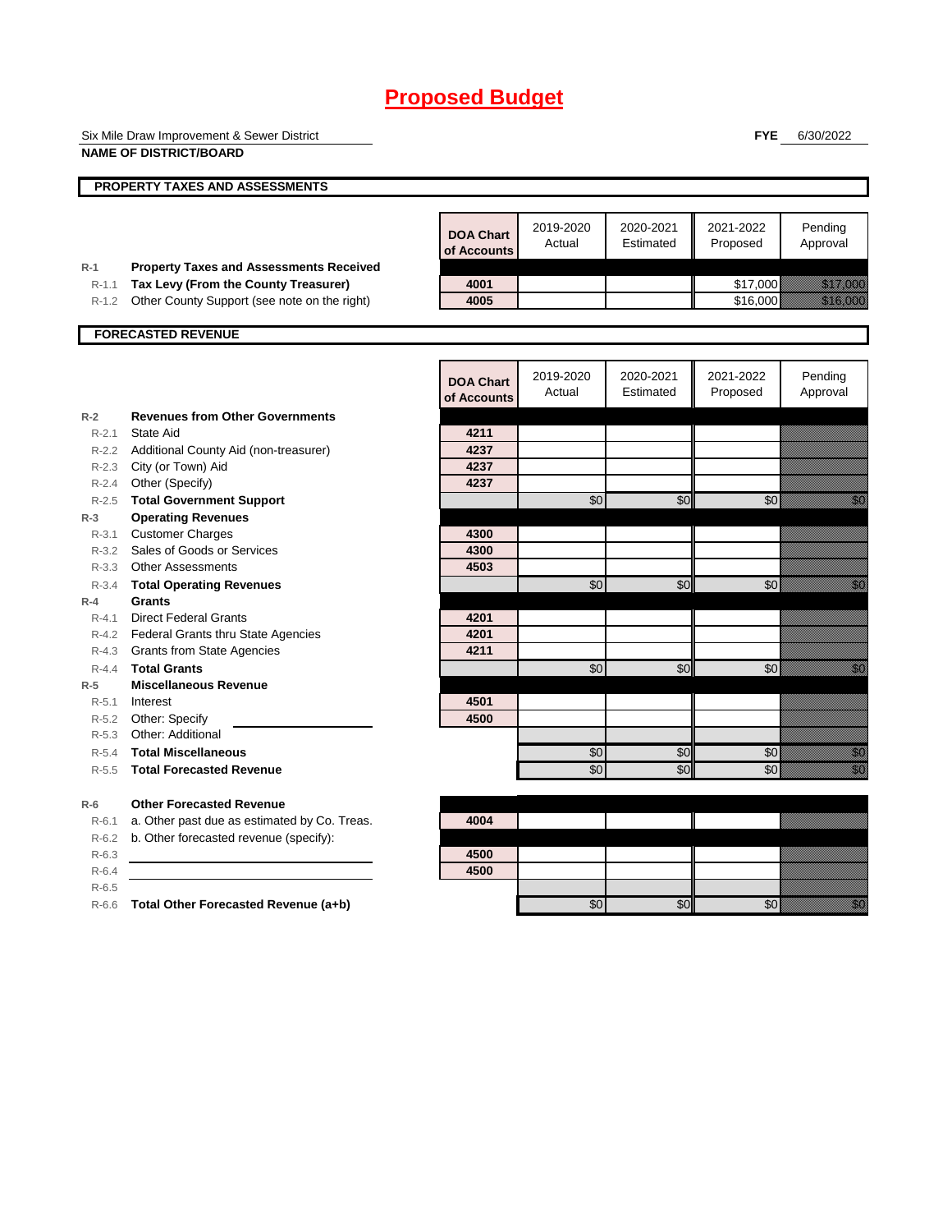|           | Six Mile Draw Improvement & Sewer District     |                                 |                     |                        | <b>FYE</b>            | 6/30/2022                                                                                                                                                                                                                        |
|-----------|------------------------------------------------|---------------------------------|---------------------|------------------------|-----------------------|----------------------------------------------------------------------------------------------------------------------------------------------------------------------------------------------------------------------------------|
|           | <b>NAME OF DISTRICT/BOARD</b>                  |                                 |                     |                        |                       |                                                                                                                                                                                                                                  |
|           | <b>PROPERTY TAXES AND ASSESSMENTS</b>          |                                 |                     |                        |                       |                                                                                                                                                                                                                                  |
|           |                                                |                                 |                     |                        |                       |                                                                                                                                                                                                                                  |
|           |                                                | <b>DOA Chart</b><br>of Accounts | 2019-2020<br>Actual | 2020-2021<br>Estimated | 2021-2022<br>Proposed | Pending<br>Approval                                                                                                                                                                                                              |
| $R-1$     | <b>Property Taxes and Assessments Received</b> |                                 |                     |                        |                       |                                                                                                                                                                                                                                  |
| R-1.1     | Tax Levy (From the County Treasurer)           | 4001                            |                     |                        | \$17,000              | <u> Kalifornia (</u>                                                                                                                                                                                                             |
| $R-1.2$   | Other County Support (see note on the right)   | 4005                            |                     |                        | \$16,000              | <u> Martin Sa</u>                                                                                                                                                                                                                |
|           | <b>FORECASTED REVENUE</b>                      |                                 |                     |                        |                       |                                                                                                                                                                                                                                  |
|           |                                                |                                 |                     |                        |                       |                                                                                                                                                                                                                                  |
|           |                                                | <b>DOA Chart</b>                | 2019-2020           | 2020-2021              | 2021-2022             | Pending                                                                                                                                                                                                                          |
|           |                                                | of Accounts                     | Actual              | Estimated              | Proposed              | Approval                                                                                                                                                                                                                         |
| $R-2$     | <b>Revenues from Other Governments</b>         |                                 |                     |                        |                       |                                                                                                                                                                                                                                  |
| $R - 2.1$ | State Aid                                      | 4211                            |                     |                        |                       |                                                                                                                                                                                                                                  |
|           | R-2.2 Additional County Aid (non-treasurer)    | 4237                            |                     |                        |                       |                                                                                                                                                                                                                                  |
|           | R-2.3 City (or Town) Aid                       | 4237                            |                     |                        |                       |                                                                                                                                                                                                                                  |
|           | R-2.4 Other (Specify)                          | 4237                            |                     |                        |                       |                                                                                                                                                                                                                                  |
|           | R-2.5 Total Government Support                 |                                 | \$0                 | \$0                    | \$0                   | .<br>Waliofarika 1970                                                                                                                                                                                                            |
| $R-3$     | <b>Operating Revenues</b>                      |                                 |                     |                        |                       |                                                                                                                                                                                                                                  |
| $R - 3.1$ | <b>Customer Charges</b>                        | 4300                            |                     |                        |                       |                                                                                                                                                                                                                                  |
|           | R-3.2 Sales of Goods or Services               | 4300                            |                     |                        |                       |                                                                                                                                                                                                                                  |
| $R - 3.3$ | <b>Other Assessments</b>                       | 4503                            |                     |                        |                       |                                                                                                                                                                                                                                  |
| $R - 3.4$ | <b>Total Operating Revenues</b>                |                                 | \$0                 | \$0                    | \$0                   | e di provincia di concello della concella di concella di concella di concella di concella di concella di conce<br>Nel 1990, concella di concella di concella di concella di concella di concella di concella di concella di conc |
| $R-4$     | <b>Grants</b>                                  |                                 |                     |                        |                       |                                                                                                                                                                                                                                  |
| $R - 4.1$ | <b>Direct Federal Grants</b>                   | 4201                            |                     |                        |                       |                                                                                                                                                                                                                                  |
|           | R-4.2 Federal Grants thru State Agencies       | 4201                            |                     |                        |                       |                                                                                                                                                                                                                                  |
| R-4.3     | <b>Grants from State Agencies</b>              | 4211                            |                     |                        |                       |                                                                                                                                                                                                                                  |
| $R - 4.4$ | <b>Total Grants</b>                            |                                 | \$0                 | \$0                    | \$0                   | <u> Karl</u>                                                                                                                                                                                                                     |
| $R-5$     | <b>Miscellaneous Revenue</b>                   |                                 |                     |                        |                       |                                                                                                                                                                                                                                  |
| $R-5.1$   | Interest                                       | 4501                            |                     |                        |                       |                                                                                                                                                                                                                                  |
|           | R-5.2 Other: Specify                           | 4500                            |                     |                        |                       |                                                                                                                                                                                                                                  |
|           | R-5.3 Other: Additional                        |                                 |                     |                        |                       |                                                                                                                                                                                                                                  |
| $R-5.4$   | <b>Total Miscellaneous</b>                     |                                 | \$0                 | \$0                    | \$0                   | en de la familie de la familie de la familie de la familie de la familie de la familie de la familie de la fam<br>Constitution de la familie de la familie de la familie de la familie de la familie de la familie de la familie |
| $R-5.5$   | <b>Total Forecasted Revenue</b>                |                                 | \$0                 | \$0                    | \$0                   | en de la familie de la familie de la familie de la familie de la familie de la familie de la familie de la fa<br>Constituit de la familie de la familie de la familie de la familie de la familie de la familie de la familie d  |
| $R-6$     | <b>Other Forecasted Revenue</b>                |                                 |                     |                        |                       |                                                                                                                                                                                                                                  |
| $R-6.1$   | a. Other past due as estimated by Co. Treas.   | 4004                            |                     |                        |                       |                                                                                                                                                                                                                                  |
| R-6.2     | b. Other forecasted revenue (specify):         |                                 |                     |                        |                       |                                                                                                                                                                                                                                  |
| $R-6.3$   |                                                | 4500                            |                     |                        |                       |                                                                                                                                                                                                                                  |
| $R-6.4$   |                                                | 4500                            |                     |                        |                       |                                                                                                                                                                                                                                  |
| $R-6.5$   |                                                |                                 |                     |                        |                       |                                                                                                                                                                                                                                  |
|           | R-6.6 Total Other Forecasted Revenue (a+b)     |                                 | \$0                 | \$0                    | \$0                   | <u>tik k</u>                                                                                                                                                                                                                     |
|           |                                                |                                 |                     |                        |                       |                                                                                                                                                                                                                                  |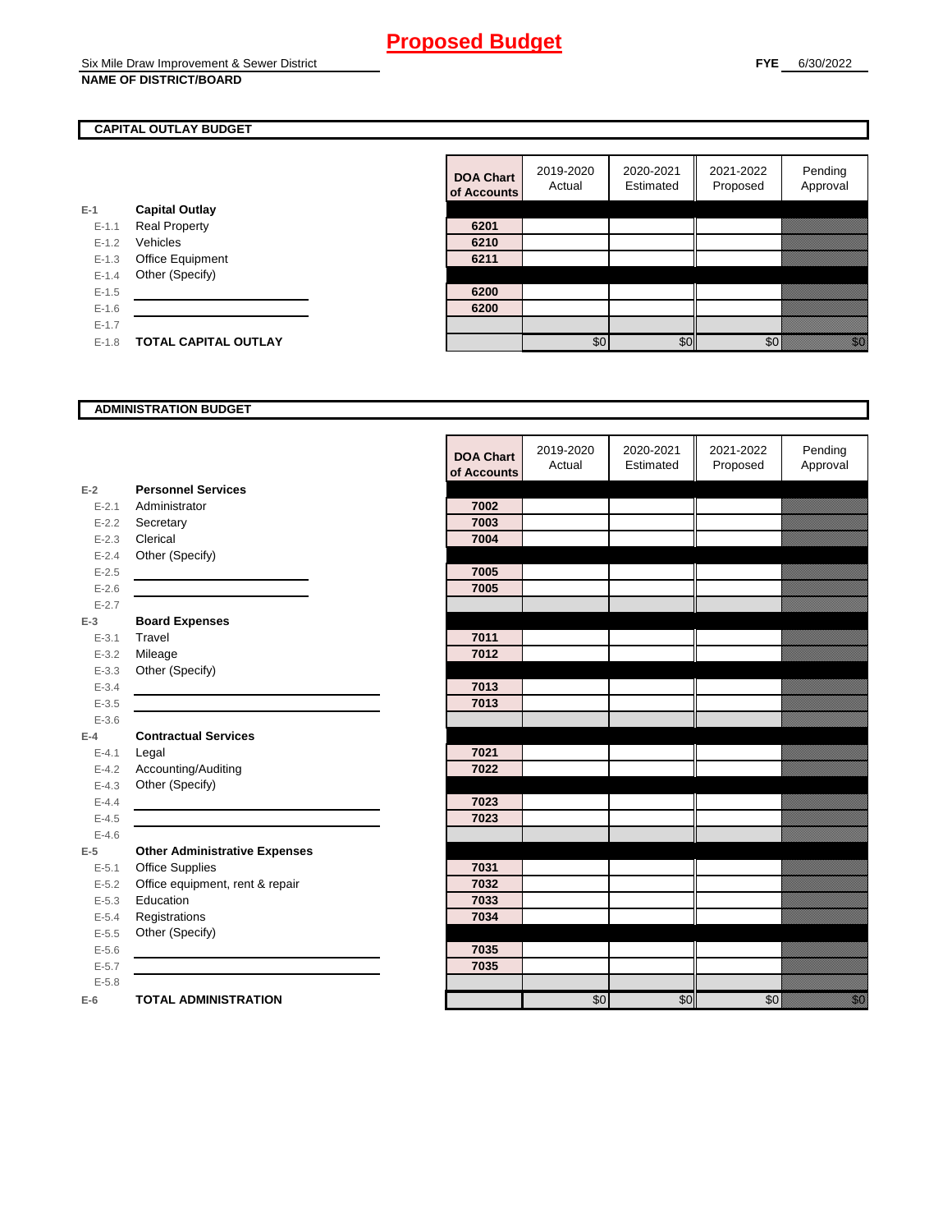### **CAPITAL OUTLAY BUDGET**

|           |                             | ui Auuu |
|-----------|-----------------------------|---------|
| $E-1$     | <b>Capital Outlay</b>       |         |
| $E - 1.1$ | <b>Real Property</b>        | 6201    |
| $E - 1.2$ | Vehicles                    | 6210    |
| $E-1.3$   | <b>Office Equipment</b>     | 6211    |
| $E - 1.4$ | Other (Specify)             |         |
| $E - 1.5$ |                             | 6200    |
| $E-1.6$   |                             | 6200    |
| $E - 1.7$ |                             |         |
| $E - 1.8$ | <b>TOTAL CAPITAL OUTLAY</b> |         |
|           |                             |         |

| <b>DOA Chart</b><br>of Accounts | 2019-2020<br>Actual | 2020-2021<br>Estimated | 2021-2022<br>Proposed | Pending<br>Approval |
|---------------------------------|---------------------|------------------------|-----------------------|---------------------|
|                                 |                     |                        |                       |                     |
| 6201                            |                     |                        |                       |                     |
| 6210                            |                     |                        |                       |                     |
| 6211                            |                     |                        |                       |                     |
|                                 |                     |                        |                       |                     |
| 6200                            |                     |                        |                       |                     |
| 6200                            |                     |                        |                       |                     |
|                                 |                     |                        |                       |                     |
|                                 | ደበ                  |                        |                       |                     |

#### **ADMINISTRATION BUDGET**

|           |                                      | <b>DOA Chart</b><br>of Accounts | 2019-2020<br>Actual | 2020-2021<br>Estimated | 2021-2022<br>Proposed | Pending<br>Approval                                                                                                                                                                                                             |
|-----------|--------------------------------------|---------------------------------|---------------------|------------------------|-----------------------|---------------------------------------------------------------------------------------------------------------------------------------------------------------------------------------------------------------------------------|
| $E-2$     | <b>Personnel Services</b>            |                                 |                     |                        |                       |                                                                                                                                                                                                                                 |
| $E - 2.1$ | Administrator                        | 7002                            |                     |                        |                       |                                                                                                                                                                                                                                 |
| $E - 2.2$ | Secretary                            | 7003                            |                     |                        |                       |                                                                                                                                                                                                                                 |
| $E - 2.3$ | Clerical                             | 7004                            |                     |                        |                       |                                                                                                                                                                                                                                 |
| $E - 2.4$ | Other (Specify)                      |                                 |                     |                        |                       |                                                                                                                                                                                                                                 |
| $E - 2.5$ |                                      | 7005                            |                     |                        |                       |                                                                                                                                                                                                                                 |
| $E - 2.6$ |                                      | 7005                            |                     |                        |                       |                                                                                                                                                                                                                                 |
| $E - 2.7$ |                                      |                                 |                     |                        |                       |                                                                                                                                                                                                                                 |
| $E-3$     | <b>Board Expenses</b>                |                                 |                     |                        |                       |                                                                                                                                                                                                                                 |
| $E - 3.1$ | Travel                               | 7011                            |                     |                        |                       |                                                                                                                                                                                                                                 |
| $E - 3.2$ | Mileage                              | 7012                            |                     |                        |                       |                                                                                                                                                                                                                                 |
| $E - 3.3$ | Other (Specify)                      |                                 |                     |                        |                       |                                                                                                                                                                                                                                 |
| $E - 3.4$ |                                      | 7013                            |                     |                        |                       |                                                                                                                                                                                                                                 |
| $E - 3.5$ |                                      | 7013                            |                     |                        |                       |                                                                                                                                                                                                                                 |
| $E - 3.6$ |                                      |                                 |                     |                        |                       |                                                                                                                                                                                                                                 |
| $E-4$     | <b>Contractual Services</b>          |                                 |                     |                        |                       |                                                                                                                                                                                                                                 |
| $E - 4.1$ | Legal                                | 7021                            |                     |                        |                       |                                                                                                                                                                                                                                 |
| $E - 4.2$ | Accounting/Auditing                  | 7022                            |                     |                        |                       |                                                                                                                                                                                                                                 |
| $E - 4.3$ | Other (Specify)                      |                                 |                     |                        |                       |                                                                                                                                                                                                                                 |
| $E - 4.4$ |                                      | 7023                            |                     |                        |                       |                                                                                                                                                                                                                                 |
| $E-4.5$   |                                      | 7023                            |                     |                        |                       |                                                                                                                                                                                                                                 |
| $E-4.6$   |                                      |                                 |                     |                        |                       |                                                                                                                                                                                                                                 |
| $E-5$     | <b>Other Administrative Expenses</b> |                                 |                     |                        |                       |                                                                                                                                                                                                                                 |
| $E - 5.1$ | Office Supplies                      | 7031                            |                     |                        |                       |                                                                                                                                                                                                                                 |
| $E - 5.2$ | Office equipment, rent & repair      | 7032                            |                     |                        |                       |                                                                                                                                                                                                                                 |
| $E - 5.3$ | Education                            | 7033                            |                     |                        |                       |                                                                                                                                                                                                                                 |
| $E - 5.4$ | Registrations                        | 7034                            |                     |                        |                       |                                                                                                                                                                                                                                 |
| $E - 5.5$ | Other (Specify)                      |                                 |                     |                        |                       |                                                                                                                                                                                                                                 |
| $E - 5.6$ |                                      | 7035                            |                     |                        |                       |                                                                                                                                                                                                                                 |
| $E - 5.7$ |                                      | 7035                            |                     |                        |                       |                                                                                                                                                                                                                                 |
| $E - 5.8$ |                                      |                                 |                     |                        |                       |                                                                                                                                                                                                                                 |
| $E-6$     | <b>TOTAL ADMINISTRATION</b>          |                                 | \$0                 | \$0                    | \$0                   | en de la familie de la familie de la familie de la familie de la familie de la familie de la familie de la fa<br>Constitution de la familie de la familie de la familie de la familie de la familie de la familie de la familie |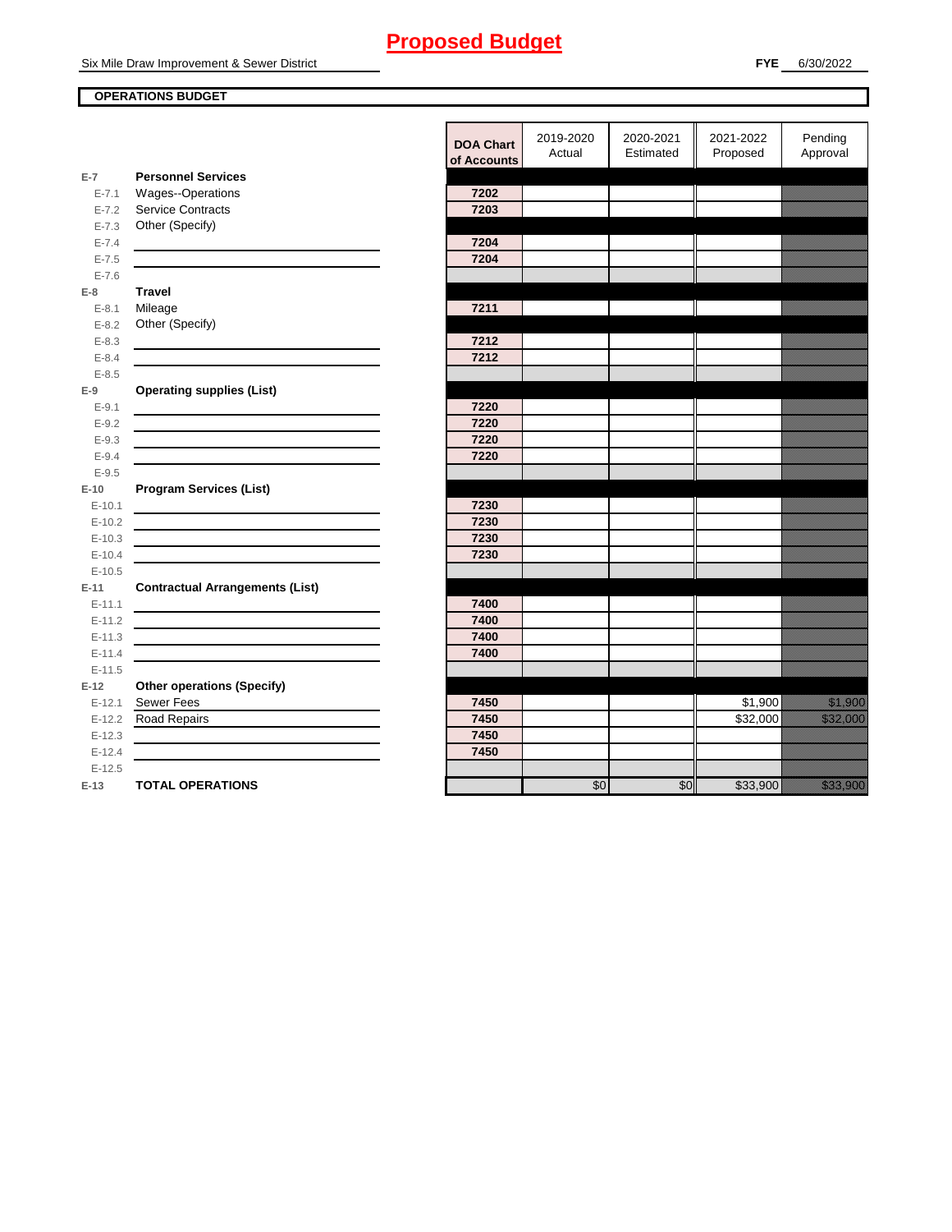Six Mile Draw Improvement & Sewer District

### **OPERATIONS BUDGET**

**E-7**

**E-8 Travel**

**E-9**

**E-10**

**E-11 Contractual Arrangements (List)** 

**E-12 Other operations (Specify)** 

|           |                                        | <b>DOA Chart</b><br>of Accounts | 2019-2020<br>Actual | 2020-2021<br>Estimated | 2021-2022<br>Proposed | Pending<br>Approval                                                                                                                                                                                                              |
|-----------|----------------------------------------|---------------------------------|---------------------|------------------------|-----------------------|----------------------------------------------------------------------------------------------------------------------------------------------------------------------------------------------------------------------------------|
| $E-7$     | <b>Personnel Services</b>              |                                 |                     |                        |                       |                                                                                                                                                                                                                                  |
| $E - 7.1$ | Wages--Operations                      | 7202                            |                     |                        |                       |                                                                                                                                                                                                                                  |
| $E - 7.2$ | <b>Service Contracts</b>               | 7203                            |                     |                        |                       |                                                                                                                                                                                                                                  |
| $E - 7.3$ | Other (Specify)                        |                                 |                     |                        |                       |                                                                                                                                                                                                                                  |
| $E - 7.4$ |                                        | 7204                            |                     |                        |                       |                                                                                                                                                                                                                                  |
| $E - 7.5$ |                                        | 7204                            |                     |                        |                       |                                                                                                                                                                                                                                  |
| $E - 7.6$ |                                        |                                 |                     |                        |                       |                                                                                                                                                                                                                                  |
| E-8       | <b>Travel</b>                          |                                 |                     |                        |                       |                                                                                                                                                                                                                                  |
| $E - 8.1$ | Mileage                                | 7211                            |                     |                        |                       |                                                                                                                                                                                                                                  |
| $E - 8.2$ | Other (Specify)                        |                                 |                     |                        |                       |                                                                                                                                                                                                                                  |
| $E - 8.3$ |                                        | 7212                            |                     |                        |                       |                                                                                                                                                                                                                                  |
| $E - 8.4$ |                                        | 7212                            |                     |                        |                       |                                                                                                                                                                                                                                  |
| $E - 8.5$ |                                        |                                 |                     |                        |                       |                                                                                                                                                                                                                                  |
| $E-9$     | <b>Operating supplies (List)</b>       |                                 |                     |                        |                       |                                                                                                                                                                                                                                  |
| $E - 9.1$ |                                        | 7220                            |                     |                        |                       |                                                                                                                                                                                                                                  |
| $E-9.2$   |                                        | 7220                            |                     |                        |                       |                                                                                                                                                                                                                                  |
| $E - 9.3$ |                                        | 7220                            |                     |                        |                       |                                                                                                                                                                                                                                  |
| $E - 9.4$ |                                        | 7220                            |                     |                        |                       |                                                                                                                                                                                                                                  |
| $E - 9.5$ |                                        |                                 |                     |                        |                       |                                                                                                                                                                                                                                  |
| $E-10$    | <b>Program Services (List)</b>         |                                 |                     |                        |                       |                                                                                                                                                                                                                                  |
| $E-10.1$  |                                        | 7230                            |                     |                        |                       |                                                                                                                                                                                                                                  |
| $E-10.2$  |                                        | 7230                            |                     |                        |                       |                                                                                                                                                                                                                                  |
| $E-10.3$  |                                        | 7230                            |                     |                        |                       |                                                                                                                                                                                                                                  |
| $E-10.4$  |                                        | 7230                            |                     |                        |                       |                                                                                                                                                                                                                                  |
| $E-10.5$  |                                        |                                 |                     |                        |                       |                                                                                                                                                                                                                                  |
| $E-11$    | <b>Contractual Arrangements (List)</b> |                                 |                     |                        |                       |                                                                                                                                                                                                                                  |
| $E-11.1$  |                                        | 7400                            |                     |                        |                       |                                                                                                                                                                                                                                  |
| $E-11.2$  |                                        | 7400                            |                     |                        |                       |                                                                                                                                                                                                                                  |
| $E-11.3$  |                                        | 7400                            |                     |                        |                       |                                                                                                                                                                                                                                  |
| $E-11.4$  |                                        | 7400                            |                     |                        |                       |                                                                                                                                                                                                                                  |
| $E-11.5$  |                                        |                                 |                     |                        |                       |                                                                                                                                                                                                                                  |
| $E-12$    | <b>Other operations (Specify)</b>      |                                 |                     |                        |                       |                                                                                                                                                                                                                                  |
| $E-12.1$  | Sewer Fees                             | 7450                            |                     |                        | \$1,900               | <u> Karlingan Sa</u>                                                                                                                                                                                                             |
| $E-12.2$  | <b>Road Repairs</b>                    | 7450                            |                     |                        | \$32,000              | <u>ta kalendari komunista komunista komunista komunista komunista komunista komunista komunista komunista ko</u>                                                                                                                 |
| $E-12.3$  |                                        | 7450                            |                     |                        |                       |                                                                                                                                                                                                                                  |
| $E-12.4$  |                                        | 7450                            |                     |                        |                       |                                                                                                                                                                                                                                  |
| $E-12.5$  |                                        |                                 |                     |                        |                       |                                                                                                                                                                                                                                  |
| E-13      | <b>TOTAL OPERATIONS</b>                |                                 | \$0                 | \$0                    | \$33,900              | a katika katika katika katika katika katika katika katika katika katika katika katika katika katika katika kat<br>Katika katika katika katika katika katika katika katika katika katika katika katika katika katika katika katik |
|           |                                        |                                 |                     |                        |                       |                                                                                                                                                                                                                                  |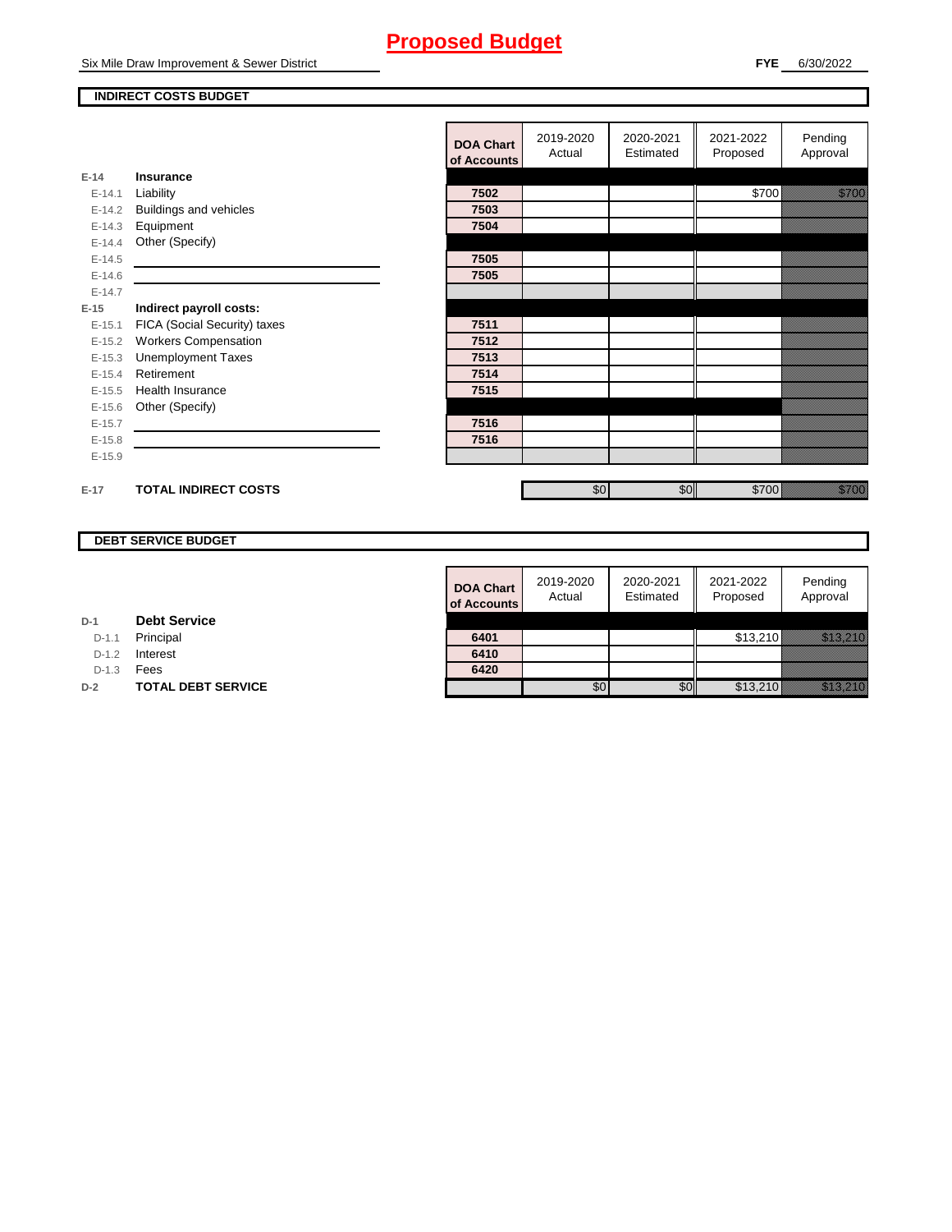Six Mile Draw Improvement & Sewer District

#### **FYE** 6/30/2022

#### **INDIRECT COSTS BUDGET**

|          |                               | <b>DOA Chart</b><br>of Accounts | 2019-2020<br>Actual | 2020-2021<br>Estimated | 2021-2022<br>Proposed | Pending<br>Approval |
|----------|-------------------------------|---------------------------------|---------------------|------------------------|-----------------------|---------------------|
| $E-14$   | <b>Insurance</b>              |                                 |                     |                        |                       |                     |
| $E-14.1$ | Liability                     | 7502                            |                     |                        | \$700                 | <u> Hillian Sta</u> |
| $E-14.2$ | <b>Buildings and vehicles</b> | 7503                            |                     |                        |                       |                     |
| $E-14.3$ | Equipment                     | 7504                            |                     |                        |                       |                     |
| $E-14.4$ | Other (Specify)               |                                 |                     |                        |                       |                     |
| $E-14.5$ |                               | 7505                            |                     |                        |                       |                     |
| $E-14.6$ |                               | 7505                            |                     |                        |                       |                     |
| $E-14.7$ |                               |                                 |                     |                        |                       |                     |
| $E-15$   | Indirect payroll costs:       |                                 |                     |                        |                       |                     |
| $E-15.1$ | FICA (Social Security) taxes  | 7511                            |                     |                        |                       |                     |
| $E-15.2$ | <b>Workers Compensation</b>   | 7512                            |                     |                        |                       |                     |
| $E-15.3$ | <b>Unemployment Taxes</b>     | 7513                            |                     |                        |                       |                     |
| $E-15.4$ | Retirement                    | 7514                            |                     |                        |                       |                     |
| $E-15.5$ | Health Insurance              | 7515                            |                     |                        |                       |                     |
| $E-15.6$ | Other (Specify)               |                                 |                     |                        |                       |                     |
| $E-15.7$ |                               | 7516                            |                     |                        |                       |                     |
| $E-15.8$ |                               | 7516                            |                     |                        |                       |                     |
| $E-15.9$ |                               |                                 |                     |                        |                       |                     |
|          |                               |                                 |                     |                        |                       |                     |
| $E-17$   | <b>TOTAL INDIRECT COSTS</b>   |                                 | \$0                 | \$0                    | \$700                 | a a an ainm         |

### **DEBT SERVICE BUDGET**

| <b>DOA Chart</b><br>of Accounts | 2019-2020<br>Actual | 2020-2021<br>Estimated | 2021-2022<br>Proposed | Pending<br>Approval |
|---------------------------------|---------------------|------------------------|-----------------------|---------------------|
|                                 |                     |                        |                       |                     |
| 6401                            |                     |                        | \$13,210              |                     |
| 6410                            |                     |                        |                       |                     |
| 6420                            |                     |                        |                       |                     |
|                                 |                     |                        | \$13,210              |                     |

#### **D-1 Debt Service**

D-1.1 **Principal** 

D-1.2 **Interest** 

D-1.3 **Fees** 

**D-2 TOTAL DEBT SERVICE**